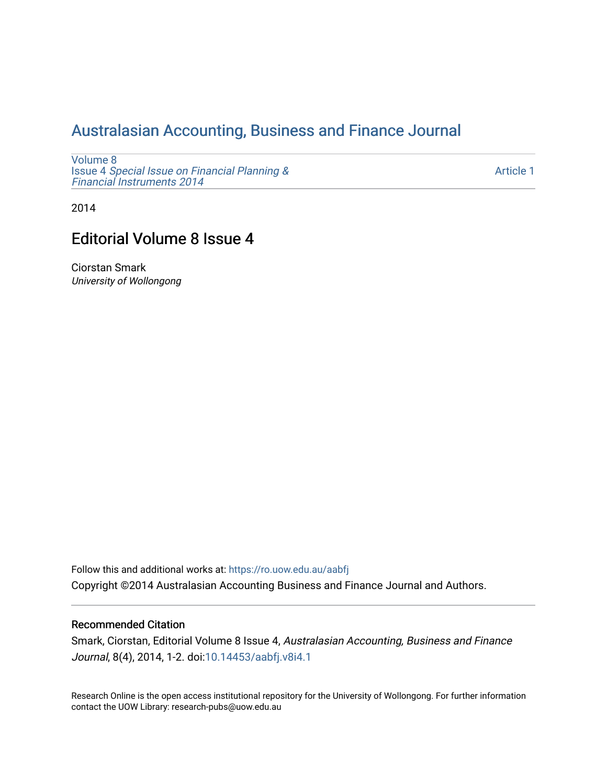## [Australasian Accounting, Business and Finance Journal](https://ro.uow.edu.au/aabfj)

[Volume 8](https://ro.uow.edu.au/aabfj/vol8) Issue 4 [Special Issue on Financial Planning &](https://ro.uow.edu.au/aabfj/vol8/iss4) [Financial Instruments 2014](https://ro.uow.edu.au/aabfj/vol8/iss4) 

[Article 1](https://ro.uow.edu.au/aabfj/vol8/iss4/1) 

2014

# Editorial Volume 8 Issue 4

Ciorstan Smark University of Wollongong

Follow this and additional works at: [https://ro.uow.edu.au/aabfj](https://ro.uow.edu.au/aabfj?utm_source=ro.uow.edu.au%2Faabfj%2Fvol8%2Fiss4%2F1&utm_medium=PDF&utm_campaign=PDFCoverPages) Copyright ©2014 Australasian Accounting Business and Finance Journal and Authors.

#### Recommended Citation

Smark, Ciorstan, Editorial Volume 8 Issue 4, Australasian Accounting, Business and Finance Journal, 8(4), 2014, 1-2. doi:[10.14453/aabfj.v8i4.1](http://dx.doi.org/10.14453/aabfj.v8i4.1) 

Research Online is the open access institutional repository for the University of Wollongong. For further information contact the UOW Library: research-pubs@uow.edu.au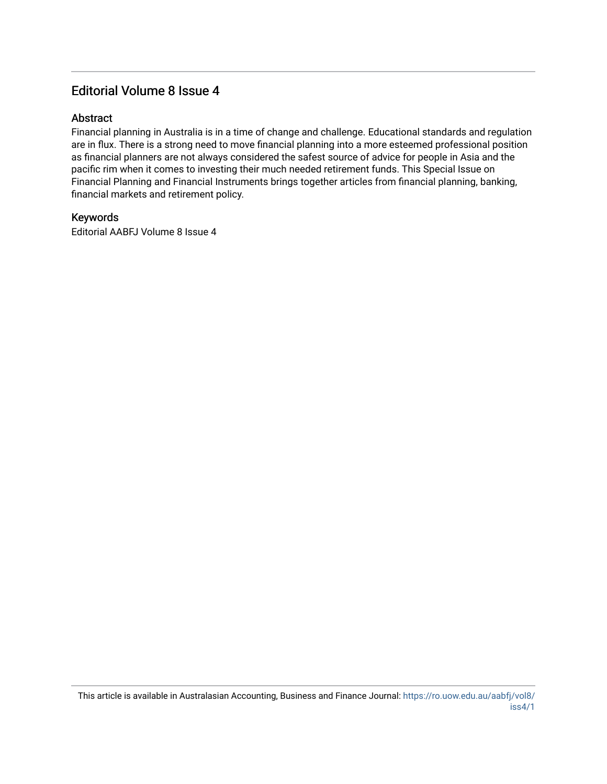### Editorial Volume 8 Issue 4

#### **Abstract**

Financial planning in Australia is in a time of change and challenge. Educational standards and regulation are in flux. There is a strong need to move financial planning into a more esteemed professional position as financial planners are not always considered the safest source of advice for people in Asia and the pacific rim when it comes to investing their much needed retirement funds. This Special Issue on Financial Planning and Financial Instruments brings together articles from financial planning, banking, financial markets and retirement policy.

#### Keywords

Editorial AABFJ Volume 8 Issue 4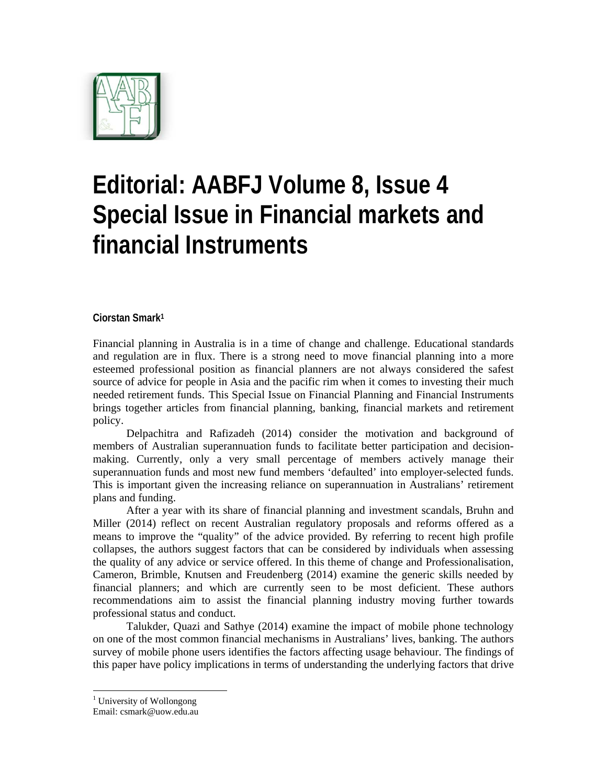

# **Editorial: AABFJ Volume 8, Issue 4 Special Issue in Financial markets and financial Instruments**

#### **Ciorstan Smark1**

Financial planning in Australia is in a time of change and challenge. Educational standards and regulation are in flux. There is a strong need to move financial planning into a more esteemed professional position as financial planners are not always considered the safest source of advice for people in Asia and the pacific rim when it comes to investing their much needed retirement funds. This Special Issue on Financial Planning and Financial Instruments brings together articles from financial planning, banking, financial markets and retirement policy.

Delpachitra and Rafizadeh (2014) consider the motivation and background of members of Australian superannuation funds to facilitate better participation and decisionmaking. Currently, only a very small percentage of members actively manage their superannuation funds and most new fund members 'defaulted' into employer-selected funds. This is important given the increasing reliance on superannuation in Australians' retirement plans and funding.

After a year with its share of financial planning and investment scandals, Bruhn and Miller (2014) reflect on recent Australian regulatory proposals and reforms offered as a means to improve the "quality" of the advice provided. By referring to recent high profile collapses, the authors suggest factors that can be considered by individuals when assessing the quality of any advice or service offered. In this theme of change and Professionalisation, Cameron, Brimble, Knutsen and Freudenberg (2014) examine the generic skills needed by financial planners; and which are currently seen to be most deficient. These authors recommendations aim to assist the financial planning industry moving further towards professional status and conduct.

Talukder, Quazi and Sathye (2014) examine the impact of mobile phone technology on one of the most common financial mechanisms in Australians' lives, banking. The authors survey of mobile phone users identifies the factors affecting usage behaviour. The findings of this paper have policy implications in terms of understanding the underlying factors that drive

<sup>&</sup>lt;sup>1</sup> University of Wollongong

Email: csmark@uow.edu.au